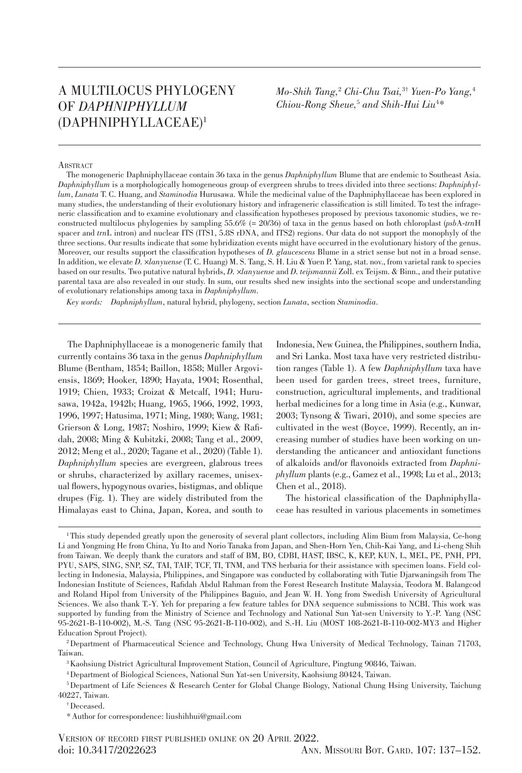# A MULTILOCUS PHYLOGENY OF *DAPHNIPHYLLUM* (DAPHNIPHYLLACEAE)1

*Mo-Shih Tang,*<sup>2</sup>  *Chi-Chu Tsai,*3† *Yuen-Po Yang,*<sup>4</sup> *Chiou-Rong Sheue,*<sup>5</sup>  *and Shih-Hui Liu*<sup>4</sup> *\**

#### **ABSTRACT**

The monogeneric Daphniphyllaceae contain 36 taxa in the genus *Daphniphyllum* Blume that are endemic to Southeast Asia. *Daphniphyllum* is a morphologically homogeneous group of evergreen shrubs to trees divided into three sections: *Daphniphyllum*, *Lunata* T. C. Huang, and *Staminodia* Hurusawa. While the medicinal value of the Daphniphyllaceae has been explored in many studies, the understanding of their evolutionary history and infrageneric classification is still limited. To test the infrageneric classification and to examine evolutionary and classification hypotheses proposed by previous taxonomic studies, we reconstructed multilocus phylogenies by sampling 55.6% (= 20/36) of taxa in the genus based on both chloroplast (*psb*A-*trn*H spacer and *trn*L intron) and nuclear ITS (ITS1, 5.8S rDNA, and ITS2) regions. Our data do not support the monophyly of the three sections. Our results indicate that some hybridization events might have occurred in the evolutionary history of the genus. Moreover, our results support the classification hypotheses of *D. glaucescens* Blume in a strict sense but not in a broad sense. In addition, we elevate *D.* ×*lanyuense* (T. C. Huang) M. S. Tang, S. H. Liu & Yuen P. Yang, stat. nov., from varietal rank to species based on our results. Two putative natural hybrids, *D.* ×*lanyuense* and *D. teijsmannii* Zoll. ex Teijsm. & Binn., and their putative parental taxa are also revealed in our study. In sum, our results shed new insights into the sectional scope and understanding of evolutionary relationships among taxa in *Daphniphyllum*.

*Key words: Daphniphyllum*, natural hybrid, phylogeny, section *Lunata*, section *Staminodia*.

The Daphniphyllaceae is a monogeneric family that currently contains 36 taxa in the genus *Daphniphyllum* Blume (Bentham, 1854; Baillon, 1858; Müller Argoviensis, 1869; Hooker, 1890; Hayata, 1904; Rosenthal, 1919; Chien, 1933; Croizat & Metcalf, 1941; Hurusawa, 1942a, 1942b; Huang, 1965, 1966, 1992, 1993, 1996, 1997; Hatusima, 1971; Ming, 1980; Wang, 1981; Grierson & Long, 1987; Noshiro, 1999; Kiew & Rafidah, 2008; Ming & Kubitzki, 2008; Tang et al., 2009, 2012; Meng et al., 2020; Tagane et al., 2020) (Table 1). *Daphniphyllum* species are evergreen, glabrous trees or shrubs, characterized by axillary racemes, unisexual flowers, hypogynous ovaries, bistigmas, and oblique drupes (Fig. 1). They are widely distributed from the Himalayas east to China, Japan, Korea, and south to

Indonesia, New Guinea, the Philippines, southern India, and Sri Lanka. Most taxa have very restricted distribution ranges (Table 1). A few *Daphniphyllum* taxa have been used for garden trees, street trees, furniture, construction, agricultural implements, and traditional herbal medicines for a long time in Asia (e.g., Kunwar, 2003; Tynsong & Tiwari, 2010), and some species are cultivated in the west (Boyce, 1999). Recently, an increasing number of studies have been working on understanding the anticancer and antioxidant functions of alkaloids and/or flavonoids extracted from *Daphniphyllum* plants (e.g., Gamez et al., 1998; Lu et al., 2013; Chen et al., 2018).

The historical classification of the Daphniphyllaceae has resulted in various placements in sometimes

Taiwan.

3Kaohsiung District Agricultural Improvement Station, Council of Agriculture, Pingtung 90846, Taiwan.

4Department of Biological Sciences, National Sun Yat-sen University, Kaohsiung 80424, Taiwan.

5Department of Life Sciences & Research Center for Global Change Biology, National Chung Hsing University, Taichung 40227, Taiwan.

†Deceased.

\*Author for correspondence: liushihhui@gmail.com

Version of record first published online on 20 April 2022.

<sup>1</sup>This study depended greatly upon the generosity of several plant collectors, including Alim Bium from Malaysia, Ce-hong Li and Yongming He from China, Yu Ito and Norio Tanaka from Japan, and Shen-Horn Yen, Chih-Kai Yang, and Li-cheng Shih from Taiwan. We deeply thank the curators and staff of BM, BO, CDBI, HAST, IBSC, K, KEP, KUN, L, MEL, PE, PNH, PPI, PYU, SAPS, SING, SNP, SZ, TAI, TAIF, TCF, TI, TNM, and TNS herbaria for their assistance with specimen loans. Field collecting in Indonesia, Malaysia, Philippines, and Singapore was conducted by collaborating with Tutie Djarwaningsih from The Indonesian Institute of Sciences, Rafidah Abdul Rahman from the Forest Research Institute Malaysia, Teodora M. Balangcod and Roland Hipol from University of the Philippines Baguio, and Jean W. H. Yong from Swedish University of Agricultural Sciences. We also thank T.-Y. Yeh for preparing a few feature tables for DNA sequence submissions to NCBI. This work was supported by funding from the Ministry of Science and Technology and National Sun Yat-sen University to Y.-P. Yang (NSC 95-2621-B-110-002), M.-S. Tang (NSC 95-2621-B-110-002), and S.-H. Liu (MOST 108-2621-B-110-002-MY3 and Higher Education Sprout Project).<br><sup>2</sup>Department of Pharmaceutical Science and Technology, Chung Hwa University of Medical Technology, Tainan 71703,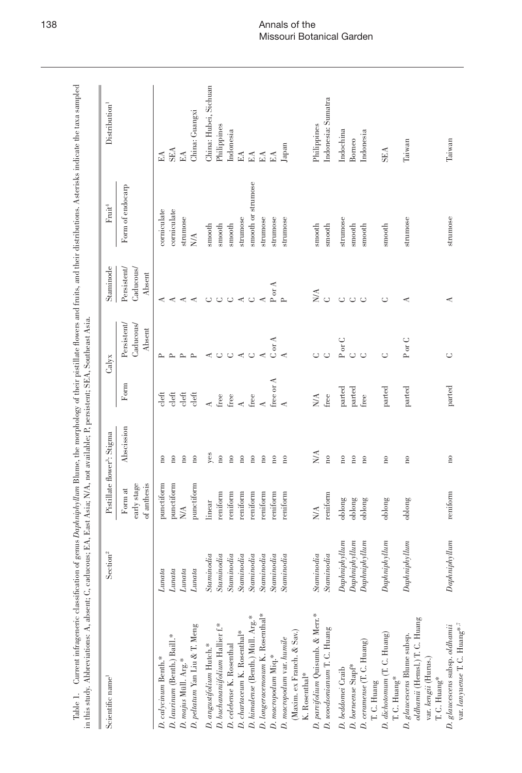| Scientific name                                                            | Section <sup>2</sup>          |                                                                                  | Pistillate flower <sup>3</sup> : Stigma |                              | Calyx                              | Staminode                         | Find                                                      | Distribution <sup>1</sup> |
|----------------------------------------------------------------------------|-------------------------------|----------------------------------------------------------------------------------|-----------------------------------------|------------------------------|------------------------------------|-----------------------------------|-----------------------------------------------------------|---------------------------|
|                                                                            |                               | early stage<br>of anthesis<br>Form at $% \left( \mathcal{N}_{\mathrm{F}}\right)$ | Abscission                              | $\ensuremath{\mathbf{Form}}$ | Persistent/<br>Caducous/<br>Absent | Persistent<br>Caducous/<br>Absent | Form of endocarp                                          |                           |
| D. calycinum Benth.*                                                       | Lunata                        | punctiform                                                                       | g                                       | $_{\rm{deft}}$               |                                    | ⋖                                 | comiculate                                                | EA                        |
| D. laurinum (Benth.) Baill.*                                               | Lunata                        | punctiform                                                                       | <b>PD</b>                               | $_{\rm def}$                 |                                    | ⋖                                 | comiculate                                                | <b>SEA</b>                |
| D. majus Müll. Arg.*                                                       | Lunata                        | <b>N/A</b>                                                                       | no                                      | $_{\rm cleft}$               | $\sim$                             | ≺                                 | strumose                                                  | ЕÁ                        |
| D. peltatum Yan Liu & T. Meng                                              | Lunata                        | punctiform                                                                       | no                                      | eleft                        | $\sim$                             | ⋖                                 | <b>N/A</b>                                                | China: Guangxi            |
| D. angustifolium Hutch.*                                                   | Staminodia                    | linear                                                                           | yes                                     | $\overline{A}$               | ≺                                  | ت                                 | $\operatorname{smooth}$                                   | China: Hubei, Sichuan     |
| D. buchananiifolium Hallier f.*                                            | Staminodia                    | reniform                                                                         | no                                      | free                         | $\circ$                            | $\cup$                            | $\mathop{\mathrm{smooth}}$                                | Philippines               |
| D. celebense K. Rosenthal                                                  | Staminodia                    | reniform                                                                         | no                                      | free                         | $\circ$                            | $\cup$                            | smooth                                                    | Indonesia                 |
| D. chartaceum K. Rosenthal*                                                | Staminodia                    | reniform                                                                         | $\overline{\rm n}$                      | $\overline{A}$               | ≺                                  | ≺                                 | strumose                                                  | $\mathbb{E}\Lambda$       |
| D. himalense (Benth.) Müll. Arg.*                                          | Staminodia                    | reniform                                                                         | $_{\rm n}$                              | $_{\rm free}$                | $\cup$                             | $\cup$                            | smooth or strumose                                        | $E\Lambda$                |
| D. longeracemosum K. Rosenthal*                                            | $\label{eq:sum_1} Staminodia$ | reniform                                                                         | no                                      |                              | ≺                                  | ≺                                 | strumose                                                  | $E\Lambda$                |
| D. macropodum Miq.*                                                        | Staminodia                    | reniform                                                                         | $\approx$                               | free or A                    | $C$ or $A$                         | $P$ or $A$                        | strumose                                                  | Ã                         |
| D. macropodum var. humile                                                  | Staminodia                    | reniform                                                                         | no                                      |                              |                                    |                                   | strumose                                                  | Japan                     |
| (Maxim. ex Franch. & Sav.)<br>K. Rosenthal*                                |                               |                                                                                  |                                         |                              |                                    |                                   |                                                           |                           |
|                                                                            |                               | NA                                                                               | <b>N/A</b>                              | N/A                          |                                    | N/A                               |                                                           | Philippines               |
| D. parvifolium Quisumb. & Merr.*                                           | Staminodia                    |                                                                                  |                                         |                              | Õ                                  |                                   | $\operatorname{smooth}$                                   |                           |
| D. woodsonianum T. C. Huang                                                | Staminodia                    | reniform                                                                         | $\mathbf{p}$                            | free                         | $\cup$                             | $\cup$                            | $\mathbf{s} \mathbf{m} \mathbf{o} \mathbf{o} \mathbf{th}$ | Indonesia: Sumatra        |
| D. beddomei Craib                                                          | Daphniphyllum                 | $_{\rm oblong}$                                                                  | no                                      | parted                       | U<br>${\bf P}$ or                  | U                                 | strumose                                                  | Indochina                 |
| $D.$ borneense Stapf*                                                      | Daphniphyllum                 | $_{\rm oblong}$                                                                  | no                                      | parted                       | $\circlearrowright$                | $\circlearrowright$               | $\operatorname{smooth}$                                   | Borneo                    |
| D. ceramense (T. C. Huang)<br>T. C. Huang                                  | Daphniphyllum                 | $_{\rm oblong}$                                                                  | m                                       | free                         | $\circ$                            | $\cup$                            | $\operatorname{smooth}$                                   | Indonesia                 |
| D. dichotomum (T. C. Huang)<br>T. C. Huang*                                | Daphniphyllum                 | oblong                                                                           | g                                       | parted                       | $\cup$                             | $\cup$                            | $\operatorname{smooth}$                                   | <b>SEA</b>                |
| oldhamii (Hemsl.) T. C. Huang<br>D. glaucescens Blume subsp.               | Daphniphylum                  | oblong                                                                           | no                                      | parted                       | ◡<br>$_{\rm P~or}$                 | ≺                                 | strumose                                                  | Taiwan                    |
| var. kengii (Hurus.)<br>T. C. Huang*                                       |                               |                                                                                  |                                         |                              |                                    |                                   |                                                           |                           |
| var. lanyuense T. C. Huang* <sup>7</sup><br>D. glaucescens subsp. oldhamii | Daphniphyllum                 | reniform                                                                         | <sub>n</sub>                            | parted                       | U                                  | ⋖                                 | strumose                                                  | Taiwan                    |

Table 1. Current infrageneric classification of genus Daphniphyllum Blume, the morphology of their pistillate flowers and fruits, and their distributions. Asterisks indicate the taxa sampled Table 1. Current infrageneric classification of genus *Daphniphyllum* Blume, the morphology of their pistillate flowers and fruits, and their distributions. Asterisks indicate the taxa sampled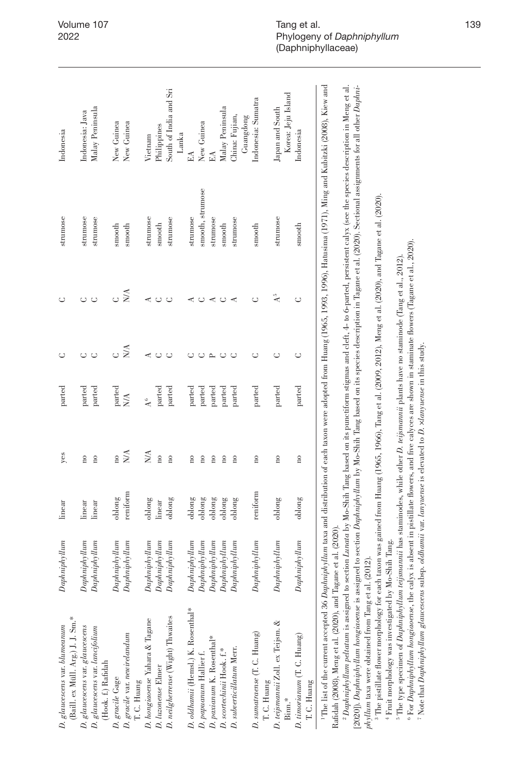| (Baill. ex Müll. Arg.) J. J. Sm.*<br>$D.$ glaucescens var. $blumeanum$                                                                                                                                                                                                  | Daphniphyllum                 | linear          | yes                     | parted         | ◡      |        | strumose         | Indonesia                             |
|-------------------------------------------------------------------------------------------------------------------------------------------------------------------------------------------------------------------------------------------------------------------------|-------------------------------|-----------------|-------------------------|----------------|--------|--------|------------------|---------------------------------------|
| D. glaucescens var. glaucescens                                                                                                                                                                                                                                         | Daphiyllum                    | linear          | no                      | parted         | ں      |        | strumose         | Indonesia: Java                       |
| D. glaucescens var. lancifolium<br>(Hook. f.) Rafidah                                                                                                                                                                                                                   | $\label{prop:opt} Donvinylum$ | linear          | $\overline{n}$          | parted         | C      | C      | strumose         | Malay Peninsula                       |
| D. gracile Gage                                                                                                                                                                                                                                                         | Daphniphyllum                 | oblong          | $\overline{\mathrm{m}}$ | parted         |        | $\cup$ | smooth           | New Guinea                            |
| D. gracile var. newirelandum<br>T. C. Huang                                                                                                                                                                                                                             | Daphniphyllum                 | reniform        | NA                      | <b>N/A</b>     | N/A    | NA     | smooth           | New Guinea                            |
| D. hongiaoense Yahara & Tagane                                                                                                                                                                                                                                          | Daphniphyllum                 | oblong          | NA                      | $\mathbf{A}^6$ |        |        | strumose         | Vietnam                               |
| D. luzonense Elmer                                                                                                                                                                                                                                                      | Daphniphyllum                 | linear          | $\mathbf{e}$            | parted         | ں      | Ō      | smooth           | Philippines                           |
| D. neilgherrense (Wight) Thwaites                                                                                                                                                                                                                                       | Daphniphylum                  | oblong          | $\overline{n}$          | parted         | ں      |        | strumose         | South of India and Sri                |
|                                                                                                                                                                                                                                                                         |                               |                 |                         |                |        |        |                  | Lanka                                 |
| D. oldhamii (Hemsl.) K. Rosenthal*                                                                                                                                                                                                                                      | Daphniphyllum                 | oblong          | $\overline{n}$          | parted         |        |        | strumose         | $E\Lambda$                            |
| D. papuanum Hallier f.                                                                                                                                                                                                                                                  | Daphniphyllum                 | oblong          | $\overline{\mathbf{n}}$ | parted         | ت      |        | smooth, strumose | New Guinea                            |
| D. paxianum K. Rosenthal*                                                                                                                                                                                                                                               | Daphniphylum                  | $_{\rm oblong}$ | $\overline{n}$          | parted         | $\sim$ |        | strumose         |                                       |
| D. scortechinii Hook. f.*                                                                                                                                                                                                                                               | Daphniphyllum                 | oblong          | $\overline{n}$          | parted         | $\cup$ | $\cup$ | smooth           | Malay Peninsula                       |
| D. subverticillatum Merr.                                                                                                                                                                                                                                               | Daphniphyllum                 | oblong          | $\overline{\mathbf{n}}$ | parted         | ں      |        | strumose         | China: Fujian,                        |
|                                                                                                                                                                                                                                                                         |                               |                 |                         |                |        |        |                  | Guangdong                             |
| D. sumatraense (T. C. Huang)<br>T. C. Huang                                                                                                                                                                                                                             | Daphniphyllum                 | reniform        | $\overline{n}$          | parted         | ں      | ◡      | smooth           | Indonesia: Sumatra                    |
| D. teijsmannii Zoll. ex Teijsm. &<br>$\mathsf{Binn}^*$                                                                                                                                                                                                                  | Daphniphyllum                 | oblong          | $\overline{n}$          | parted         | ◡      | å      | strumose         | Korea: Jeju Island<br>Japan and South |
| D. timorianum (T. C. Huang)<br>T. C. Huang                                                                                                                                                                                                                              | Daphniphyllum                 | oblong          | no                      | parted         | ں      | U      | smooth           | Indonesia                             |
| <sup>1</sup> The list of the current accepted 36 <i>Daphniphyllum</i> taxa and distribution of each taxon were adopted from Huang (1965, 1993, 1993, 18ausima (1971), Ming and Kubitzki (2008), Kiew and<br>Rafdah (2008). Mene et al. (2020). and Tagane et al. (2020) |                               |                 |                         |                |        |        |                  |                                       |

Rafidah (2008), Meng et al. (2020), and Tagane et al. (2020).<br>*2 Daphniphyllum peltatum* is assigned to section *Lunata* by Mo-Shih Tang based on its punctiform stigmas and cleft, 4- to 6-parted, persistent calyx (see the <sup>2</sup> Daphniphyllum peltatum is assigned to section Lunata by Mo-Shih Tang based on its punctiform stigmas and cleft, 4- to 6-parted, persistent calyx (see the species description in Meng et al. [2020]). Daphniphyllum hongiaoense is assigned to section Daphniphyllum by Mo-Shih Tang based on its species description in Tagane et al. (2020). Sectional assignments for all other Daphni-[2020]). *Daphniphyllum hongiaoense* is assigned to section *Daphniphyllum* by Mo-Shih Tang based on its species description in Tagane et al. (2020). Sectional assignments for all other *Daphni-*Rafidah (2008), Meng et al. (2020), and Tagane et al. (2020). phyllum taxa were obtained from Tang et al. (2012).

 $^3$  The pistillate flower morphology for each taxon was gained from Huang (1965, 1966), Tang et al. (2009, 2012), Meng et al. (2020), and Tagane et al. (2020). *phyllum* taxa were obtained from Tang et al. (2012).<br><sup>3</sup> The pistillate flower morphology for each taxon was gained from Huang (1965, 1966), Tang et al. (2009, 2012), Meng et al. (2020), and Tagane et al. (2020).

<sup>4</sup> Fruit morphology was investigated by Mo-Shih Tang. 4 Fruit morphology was investigated by Mo-Shih Tang.

<sup>s</sup> The type specimen of *Daphniphyllum teijsmannii* has staminodes, while other *D. teijsmannii* plants have no staminode (Tang et al., 2012).<br><sup>6</sup> For *Daphniphyllum hongiaoense*, the calyx is absent in pistillate flowers <sup>5</sup> The type specimen of *Daphniphyllum teijsmannii* has staminodes, while other *D. teijsmannii* plants have no staminode (Tang et al., 2012).

<sup>6</sup> For *Daphniphyllum hongiaoense,* the calyx is absent in pistillate flowers, and five calyces are shown in staminate flowers (Tagane et al., 2020).

<sup>7</sup> Note that Daphniphyllum glaucescens subsp. oldhamit var. lanyuense is elevated to D. Xlanyuense in this study.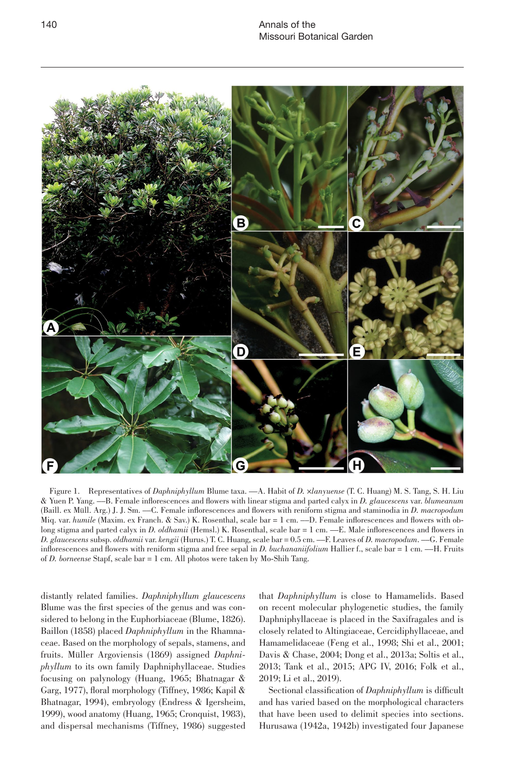

Figure 1. Representatives of *Daphniphyllum* Blume taxa. —A. Habit of *D.* ×*lanyuense* (T. C. Huang) M. S. Tang, S. H. Liu & Yuen P. Yang. ––B. Female inflorescences and flowers with linear stigma and parted calyx in *D. glaucescens* var. *blumeanum* (Baill. ex Müll. Arg.) J. J. Sm. ––C. Female inflorescences and flowers with reniform stigma and staminodia in *D. macropodum* Miq. var. humile (Maxim. ex Franch. & Sav.) K. Rosenthal, scale bar = 1 cm. -- D. Female inflorescences and flowers with oblong stigma and parted calyx in *D. oldhamii* (Hemsl.) K. Rosenthal, scale bar = 1 cm. —E. Male inflorescences and flowers in *D. glaucescens* subsp. *oldhamii* var. *kengii* (Hurus.) T. C. Huang, scale bar = 0.5 cm. ––F. Leaves of *D. macropodum*. ––G. Female inflorescences and flowers with reniform stigma and free sepal in *D. buchananiifolium* Hallier f., scale bar = 1 cm. ––H. Fruits of *D. borneense* Stapf, scale bar = 1 cm. All photos were taken by Mo-Shih Tang.

distantly related families. *Daphniphyllum glaucescens* Blume was the first species of the genus and was considered to belong in the Euphorbiaceae (Blume, 1826). Baillon (1858) placed *Daphniphyllum* in the Rhamnaceae. Based on the morphology of sepals, stamens, and fruits. Müller Argoviensis (1869) assigned *Daphniphyllum* to its own family Daphniphyllaceae. Studies focusing on palynology (Huang, 1965; Bhatnagar & Garg, 1977), floral morphology (Tiffney, 1986; Kapil & Bhatnagar, 1994), embryology (Endress & Igersheim, 1999), wood anatomy (Huang, 1965; Cronquist, 1983), and dispersal mechanisms (Tiffney, 1986) suggested that *Daphniphyllum* is close to Hamamelids. Based on recent molecular phylogenetic studies, the family Daphniphyllaceae is placed in the Saxifragales and is closely related to Altingiaceae, Cercidiphyllaceae, and Hamamelidaceae (Feng et al., 1998; Shi et al., 2001; Davis & Chase, 2004; Dong et al., 2013a; Soltis et al., 2013; Tank et al., 2015; APG IV, 2016; Folk et al., 2019; Li et al., 2019).

Sectional classification of *Daphniphyllum* is difficult and has varied based on the morphological characters that have been used to delimit species into sections. Hurusawa (1942a, 1942b) investigated four Japanese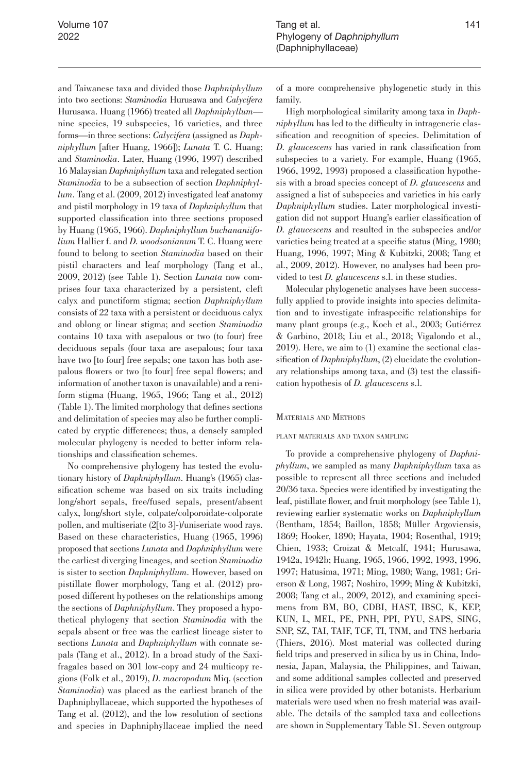and Taiwanese taxa and divided those *Daphniphyllum* into two sections: *Staminodia* Hurusawa and *Calycifera* Hurusawa. Huang (1966) treated all *Daphniphyllum*–– nine species, 19 subspecies, 16 varieties, and three forms––in three sections: *Calycifera* (assigned as *Daphniphyllum* [after Huang, 1966]); *Lunata* T. C. Huang; and *Staminodia*. Later, Huang (1996, 1997) described 16 Malaysian *Daphniphyllum* taxa and relegated section *Staminodia* to be a subsection of section *Daphniphyllum*. Tang et al. (2009, 2012) investigated leaf anatomy and pistil morphology in 19 taxa of *Daphniphyllum* that supported classification into three sections proposed by Huang (1965, 1966). *Daphniphyllum buchananiifolium* Hallier f. and *D. woodsonianum* T. C. Huang were found to belong to section *Staminodia* based on their pistil characters and leaf morphology (Tang et al., 2009, 2012) (see Table 1). Section *Lunata* now comprises four taxa characterized by a persistent, cleft calyx and punctiform stigma; section *Daphniphyllum* consists of 22 taxa with a persistent or deciduous calyx and oblong or linear stigma; and section *Staminodia* contains 10 taxa with asepalous or two (to four) free deciduous sepals (four taxa are asepalous; four taxa have two [to four] free sepals; one taxon has both asepalous flowers or two [to four] free sepal flowers; and information of another taxon is unavailable) and a reniform stigma (Huang, 1965, 1966; Tang et al., 2012) (Table 1). The limited morphology that defines sections and delimitation of species may also be further complicated by cryptic differences; thus, a densely sampled molecular phylogeny is needed to better inform relationships and classification schemes.

No comprehensive phylogeny has tested the evolutionary history of *Daphniphyllum*. Huang's (1965) classification scheme was based on six traits including long/short sepals, free/fused sepals, present/absent calyx, long/short style, colpate/colporoidate-colporate pollen, and multiseriate (2[to 3]-)/uniseriate wood rays. Based on these characteristics, Huang (1965, 1996) proposed that sections *Lunata* and *Daphniphyllum* were the earliest diverging lineages, and section *Staminodia* is sister to section *Daphniphyllum*. However, based on pistillate flower morphology, Tang et al. (2012) proposed different hypotheses on the relationships among the sections of *Daphniphyllum*. They proposed a hypothetical phylogeny that section *Staminodia* with the sepals absent or free was the earliest lineage sister to sections *Lunata* and *Daphniphyllum* with connate sepals (Tang et al., 2012). In a broad study of the Saxifragales based on 301 low-copy and 24 multicopy regions (Folk et al., 2019), *D. macropodum* Miq. (section *Staminodia*) was placed as the earliest branch of the Daphniphyllaceae, which supported the hypotheses of Tang et al. (2012), and the low resolution of sections and species in Daphniphyllaceae implied the need

of a more comprehensive phylogenetic study in this family.

High morphological similarity among taxa in *Daphniphyllum* has led to the difficulty in intrageneric classification and recognition of species. Delimitation of *D. glaucescens* has varied in rank classification from subspecies to a variety. For example, Huang (1965, 1966, 1992, 1993) proposed a classification hypothesis with a broad species concept of *D. glaucescens* and assigned a list of subspecies and varieties in his early *Daphniphyllum* studies. Later morphological investigation did not support Huang's earlier classification of *D. glaucescens* and resulted in the subspecies and/or varieties being treated at a specific status (Ming, 1980; Huang, 1996, 1997; Ming & Kubitzki, 2008; Tang et al., 2009, 2012). However, no analyses had been provided to test *D. glaucescens* s.l. in these studies.

Molecular phylogenetic analyses have been successfully applied to provide insights into species delimitation and to investigate infraspecific relationships for many plant groups (e.g., Koch et al., 2003; Gutiérrez & Garbino, 2018; Liu et al., 2018; Vigalondo et al., 2019). Here, we aim to (1) examine the sectional classification of *Daphniphyllum*, (2) elucidate the evolutionary relationships among taxa, and (3) test the classification hypothesis of *D. glaucescens* s.l.

### Materials and Methods

# plant materials and taxon sampling

To provide a comprehensive phylogeny of *Daphniphyllum*, we sampled as many *Daphniphyllum* taxa as possible to represent all three sections and included 20/36 taxa. Species were identified by investigating the leaf, pistillate flower, and fruit morphology (see Table 1), reviewing earlier systematic works on *Daphniphyllum* (Bentham, 1854; Baillon, 1858; Müller Argoviensis, 1869; Hooker, 1890; Hayata, 1904; Rosenthal, 1919; Chien, 1933; Croizat & Metcalf, 1941; Hurusawa, 1942a, 1942b; Huang, 1965, 1966, 1992, 1993, 1996, 1997; Hatusima, 1971; Ming, 1980; Wang, 1981; Grierson & Long, 1987; Noshiro, 1999; Ming & Kubitzki, 2008; Tang et al., 2009, 2012), and examining specimens from BM, BO, CDBI, HAST, IBSC, K, KEP, KUN, L, MEL, PE, PNH, PPI, PYU, SAPS, SING, SNP, SZ, TAI, TAIF, TCF, TI, TNM, and TNS herbaria (Thiers, 2016). Most material was collected during field trips and preserved in silica by us in China, Indonesia, Japan, Malaysia, the Philippines, and Taiwan, and some additional samples collected and preserved in silica were provided by other botanists. Herbarium materials were used when no fresh material was available. The details of the sampled taxa and collections are shown in Supplementary Table S1. Seven outgroup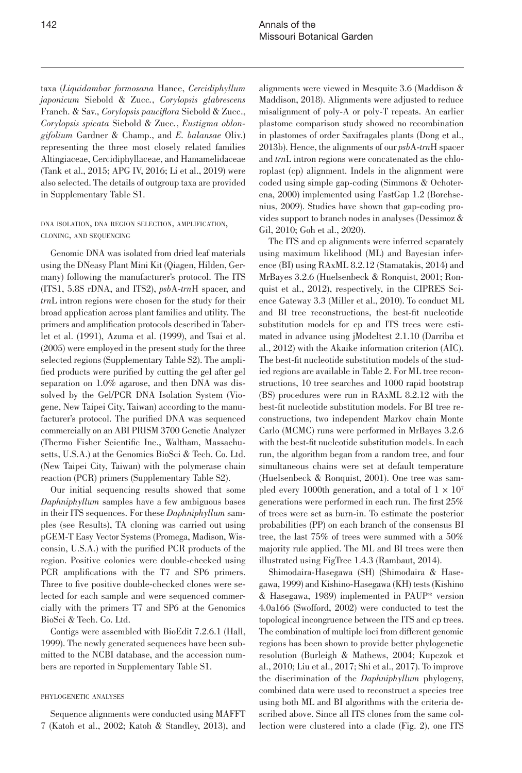taxa (*Liquidambar formosana* Hance, *Cercidiphyllum japonicum* Siebold & Zucc*.*, *Corylopsis glabrescens* Franch. & Sav., *Corylopsis pauciflora* Siebold & Zucc., *Corylopsis spicata* Siebold & Zucc*.*, *Eustigma oblongifolium* Gardner & Champ., and *E. balansae* Oliv.) representing the three most closely related families Altingiaceae, Cercidiphyllaceae, and Hamamelidaceae (Tank et al., 2015; APG IV, 2016; Li et al., 2019) were also selected. The details of outgroup taxa are provided in Supplementary Table S1.

dna isolation, dna region selection, amplification, cloning, and sequencing

Genomic DNA was isolated from dried leaf materials using the DNeasy Plant Mini Kit (Qiagen, Hilden, Germany) following the manufacturer's protocol. The ITS (ITS1, 5.8S rDNA, and ITS2), *psb*A-*trn*H spacer, and *trn*L intron regions were chosen for the study for their broad application across plant families and utility. The primers and amplification protocols described in Taberlet et al. (1991), Azuma et al. (1999), and Tsai et al. (2005) were employed in the present study for the three selected regions (Supplementary Table S2). The amplified products were purified by cutting the gel after gel separation on 1.0% agarose, and then DNA was dissolved by the Gel/PCR DNA Isolation System (Viogene, New Taipei City, Taiwan) according to the manufacturer's protocol. The purified DNA was sequenced commercially on an ABI PRISM 3700 Genetic Analyzer (Thermo Fisher Scientific Inc., Waltham, Massachusetts, U.S.A.) at the Genomics BioSci & Tech. Co. Ltd. (New Taipei City, Taiwan) with the polymerase chain reaction (PCR) primers (Supplementary Table S2).

Our initial sequencing results showed that some *Daphniphyllum* samples have a few ambiguous bases in their ITS sequences. For these *Daphniphyllum* samples (see Results), TA cloning was carried out using pGEM-T Easy Vector Systems (Promega, Madison, Wisconsin, U.S.A.) with the purified PCR products of the region. Positive colonies were double-checked using PCR amplifications with the T7 and SP6 primers. Three to five positive double-checked clones were selected for each sample and were sequenced commercially with the primers T7 and SP6 at the Genomics BioSci & Tech. Co. Ltd.

Contigs were assembled with BioEdit 7.2.6.1 (Hall, 1999). The newly generated sequences have been submitted to the NCBI database, and the accession numbers are reported in Supplementary Table S1.

### phylogenetic analyses

Sequence alignments were conducted using MAFFT 7 (Katoh et al., 2002; Katoh & Standley, 2013), and

alignments were viewed in Mesquite 3.6 (Maddison & Maddison, 2018). Alignments were adjusted to reduce misalignment of poly-A or poly-T repeats. An earlier plastome comparison study showed no recombination in plastomes of order Saxifragales plants (Dong et al., 2013b). Hence, the alignments of our *psb*A-*trn*H spacer and *trn*L intron regions were concatenated as the chloroplast (cp) alignment. Indels in the alignment were coded using simple gap-coding (Simmons & Ochoterena, 2000) implemented using FastGap 1.2 (Borchsenius, 2009). Studies have shown that gap-coding provides support to branch nodes in analyses (Dessimoz & Gil, 2010; Goh et al., 2020).

The ITS and cp alignments were inferred separately using maximum likelihood (ML) and Bayesian inference (BI) using RAxML 8.2.12 (Stamatakis, 2014) and MrBayes 3.2.6 (Huelsenbeck & Ronquist, 2001; Ronquist et al., 2012), respectively, in the CIPRES Science Gateway 3.3 (Miller et al., 2010). To conduct ML and BI tree reconstructions, the best-fit nucleotide substitution models for cp and ITS trees were estimated in advance using jModeltest 2.1.10 (Darriba et al., 2012) with the Akaike information criterion (AIC). The best-fit nucleotide substitution models of the studied regions are available in Table 2. For ML tree reconstructions, 10 tree searches and 1000 rapid bootstrap (BS) procedures were run in RAxML 8.2.12 with the best-fit nucleotide substitution models. For BI tree reconstructions, two independent Markov chain Monte Carlo (MCMC) runs were performed in MrBayes 3.2.6 with the best-fit nucleotide substitution models. In each run, the algorithm began from a random tree, and four simultaneous chains were set at default temperature (Huelsenbeck & Ronquist, 2001). One tree was sampled every 1000th generation, and a total of  $1 \times 10^7$ generations were performed in each run. The first 25% of trees were set as burn-in. To estimate the posterior probabilities (PP) on each branch of the consensus BI tree, the last 75% of trees were summed with a 50% majority rule applied. The ML and BI trees were then illustrated using FigTree 1.4.3 (Rambaut, 2014).

Shimodaira-Hasegawa (SH) (Shimodaira & Hasegawa, 1999) and Kishino-Hasegawa (KH) tests (Kishino & Hasegawa, 1989) implemented in PAUP\* version 4.0a166 (Swofford, 2002) were conducted to test the topological incongruence between the ITS and cp trees. The combination of multiple loci from different genomic regions has been shown to provide better phylogenetic resolution (Burleigh & Mathews, 2004; Kupczok et al., 2010; Liu et al., 2017; Shi et al., 2017). To improve the discrimination of the *Daphniphyllum* phylogeny, combined data were used to reconstruct a species tree using both ML and BI algorithms with the criteria described above. Since all ITS clones from the same collection were clustered into a clade (Fig. 2), one ITS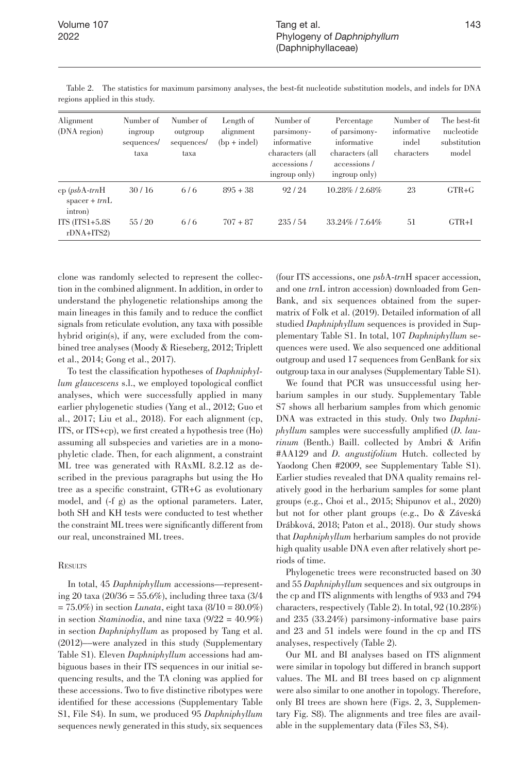| Alignment<br>(DNA region)        | Number of<br>ingroup<br>sequences/<br>taxa | Number of<br>outgroup<br>sequences/<br>taxa | Length of<br>alignment<br>$(bp + indel)$ | Number of<br>parsimony-<br>informative<br>characters (all<br>accessions/ | Percentage<br>of parsimony-<br>informative<br>characters (all<br>accessions/ | Number of<br>informative<br>indel<br>characters | The best-fit<br>nucleotide<br>substitution<br>model |
|----------------------------------|--------------------------------------------|---------------------------------------------|------------------------------------------|--------------------------------------------------------------------------|------------------------------------------------------------------------------|-------------------------------------------------|-----------------------------------------------------|
| $cp (psbA-trnH)$                 | 30/16                                      | 6/6                                         | $895 + 38$                               | ingroup only)<br>92/24                                                   | ingroup only)<br>10.28% / 2.68%                                              | 23                                              | $GTR + G$                                           |
| $space + trnL$<br>intron)        |                                            |                                             |                                          |                                                                          |                                                                              |                                                 |                                                     |
| $ITS (ITS1+5.8S)$<br>$rDNA+ITS2$ | 55/20                                      | 6/6                                         | $707 + 87$                               | 235/54                                                                   | 33.24% / 7.64%                                                               | 51                                              | $GTR+I$                                             |

Table 2. The statistics for maximum parsimony analyses, the best-fit nucleotide substitution models, and indels for DNA regions applied in this study.

clone was randomly selected to represent the collection in the combined alignment. In addition, in order to understand the phylogenetic relationships among the main lineages in this family and to reduce the conflict signals from reticulate evolution, any taxa with possible hybrid origin(s), if any, were excluded from the combined tree analyses (Moody & Rieseberg, 2012; Triplett et al., 2014; Gong et al., 2017).

To test the classification hypotheses of *Daphniphyllum glaucescens* s.l., we employed topological conflict analyses, which were successfully applied in many earlier phylogenetic studies (Yang et al., 2012; Guo et al., 2017; Liu et al., 2018). For each alignment (cp, ITS, or ITS+cp), we first created a hypothesis tree (Ho) assuming all subspecies and varieties are in a monophyletic clade. Then, for each alignment, a constraint ML tree was generated with RAxML 8.2.12 as described in the previous paragraphs but using the Ho tree as a specific constraint, GTR+G as evolutionary model, and (-f g) as the optional parameters. Later, both SH and KH tests were conducted to test whether the constraint ML trees were significantly different from our real, unconstrained ML trees.

# **RESULTS**

In total, 45 *Daphniphyllum* accessions––representing 20 taxa (20/36 = 55.6%), including three taxa (3/4 = 75.0%) in section *Lunata*, eight taxa (8/10 = 80.0%) in section *Staminodia*, and nine taxa (9/22 = 40.9%) in section *Daphniphyllum* as proposed by Tang et al. (2012)––were analyzed in this study (Supplementary Table S1). Eleven *Daphniphyllum* accessions had ambiguous bases in their ITS sequences in our initial sequencing results, and the TA cloning was applied for these accessions. Two to five distinctive ribotypes were identified for these accessions (Supplementary Table S1, File S4). In sum, we produced 95 *Daphniphyllum* sequences newly generated in this study, six sequences

(four ITS accessions, one *psb*A-*trn*H spacer accession, and one *trn*L intron accession) downloaded from Gen-Bank, and six sequences obtained from the supermatrix of Folk et al. (2019). Detailed information of all studied *Daphniphyllum* sequences is provided in Supplementary Table S1. In total, 107 *Daphniphyllum* sequences were used. We also sequenced one additional outgroup and used 17 sequences from GenBank for six outgroup taxa in our analyses (Supplementary Table S1).

We found that PCR was unsuccessful using herbarium samples in our study. Supplementary Table S7 shows all herbarium samples from which genomic DNA was extracted in this study. Only two *Daphniphyllum* samples were successfully amplified (*D. laurinum* (Benth.) Baill. collected by Ambri & Arifin #AA129 and *D. angustifolium* Hutch. collected by Yaodong Chen #2009, see Supplementary Table S1). Earlier studies revealed that DNA quality remains relatively good in the herbarium samples for some plant groups (e.g., Choi et al., 2015; Shipunov et al., 2020) but not for other plant groups (e.g., Do & Záveská Drábková, 2018; Paton et al., 2018). Our study shows that *Daphniphyllum* herbarium samples do not provide high quality usable DNA even after relatively short periods of time.

Phylogenetic trees were reconstructed based on 30 and 55 *Daphniphyllum* sequences and six outgroups in the cp and ITS alignments with lengths of 933 and 794 characters, respectively (Table 2). In total, 92 (10.28%) and 235 (33.24%) parsimony-informative base pairs and 23 and 51 indels were found in the cp and ITS analyses, respectively (Table 2).

Our ML and BI analyses based on ITS alignment were similar in topology but differed in branch support values. The ML and BI trees based on cp alignment were also similar to one another in topology. Therefore, only BI trees are shown here (Figs. 2, 3, Supplementary Fig. S8). The alignments and tree files are available in the supplementary data (Files S3, S4).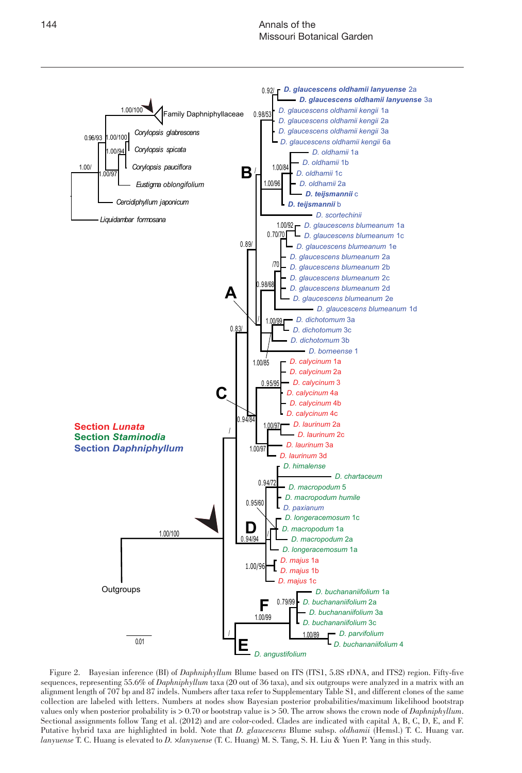

Figure 2. Bayesian inference (BI) of *Daphniphyllum* Blume based on ITS (ITS1, 5.8S rDNA, and ITS2) region. Fifty-five sequences, representing 55.6% of *Daphniphyllum* taxa (20 out of 36 taxa), and six outgroups were analyzed in a matrix with an alignment length of 707 bp and 87 indels. Numbers after taxa refer to Supplementary Table S1, and different clones of the same collection are labeled with letters. Numbers at nodes show Bayesian posterior probabilities/maximum likelihood bootstrap values only when posterior probability is > 0.70 or bootstrap value is > 50. The arrow shows the crown node of *Daphniphyllum*. Sectional assignments follow Tang et al. (2012) and are color-coded. Clades are indicated with capital A, B, C, D, E, and F. Putative hybrid taxa are highlighted in bold. Note that *D. glaucescens* Blume subsp. *oldhamii* (Hemsl.) T. C. Huang var. *lanyuense* T. C. Huang is elevated to *D.* ×*lanyuense* (T. C. Huang) M. S. Tang, S. H. Liu & Yuen P. Yang in this study.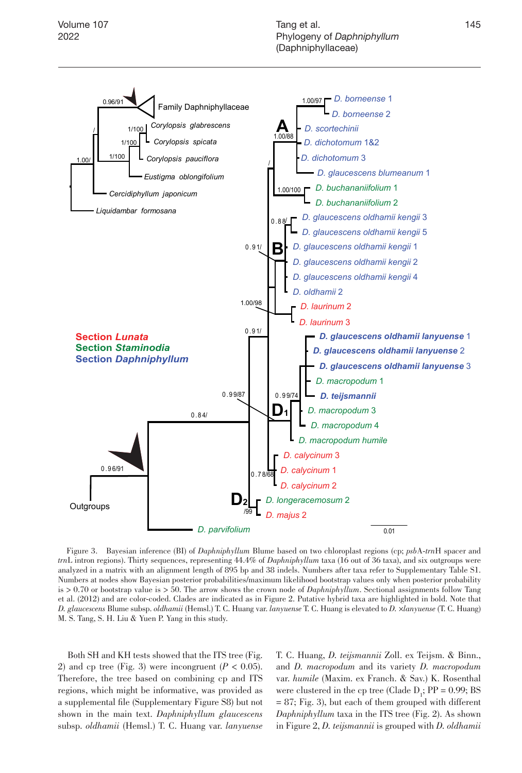

Figure 3. Bayesian inference (BI) of *Daphniphyllum* Blume based on two chloroplast regions (cp; *psb*A-*trn*H spacer and *trn*L intron regions). Thirty sequences, representing 44.4% of *Daphniphyllum* taxa (16 out of 36 taxa), and six outgroups were analyzed in a matrix with an alignment length of 895 bp and 38 indels. Numbers after taxa refer to Supplementary Table S1. Numbers at nodes show Bayesian posterior probabilities/maximum likelihood bootstrap values only when posterior probability is > 0.70 or bootstrap value is > 50. The arrow shows the crown node of *Daphniphyllum*. Sectional assignments follow Tang et al. (2012) and are color-coded. Clades are indicated as in Figure 2. Putative hybrid taxa are highlighted in bold. Note that *D. glaucescens* Blume subsp. *oldhamii* (Hemsl.) T. C. Huang var. *lanyuense* T. C. Huang is elevated to *D.* ×*lanyuense* (T. C. Huang) M. S. Tang, S. H. Liu & Yuen P. Yang in this study.

Both SH and KH tests showed that the ITS tree (Fig. 2) and cp tree (Fig. 3) were incongruent  $(P < 0.05)$ . Therefore, the tree based on combining cp and ITS regions, which might be informative, was provided as a supplemental file (Supplementary Figure S8) but not shown in the main text. *Daphniphyllum glaucescens* subsp. *oldhamii* (Hemsl.) T. C. Huang var. *lanyuense* T. C. Huang, *D. teijsmannii* Zoll. ex Teijsm. & Binn., and *D. macropodum* and its variety *D. macropodum* var. *humile* (Maxim. ex Franch. & Sav.) K. Rosenthal were clustered in the cp tree (Clade  $D_i$ ; PP = 0.99; BS = 87; Fig. 3), but each of them grouped with different *Daphniphyllum* taxa in the ITS tree (Fig. 2). As shown in Figure 2, *D. teijsmannii* is grouped with *D. oldhamii*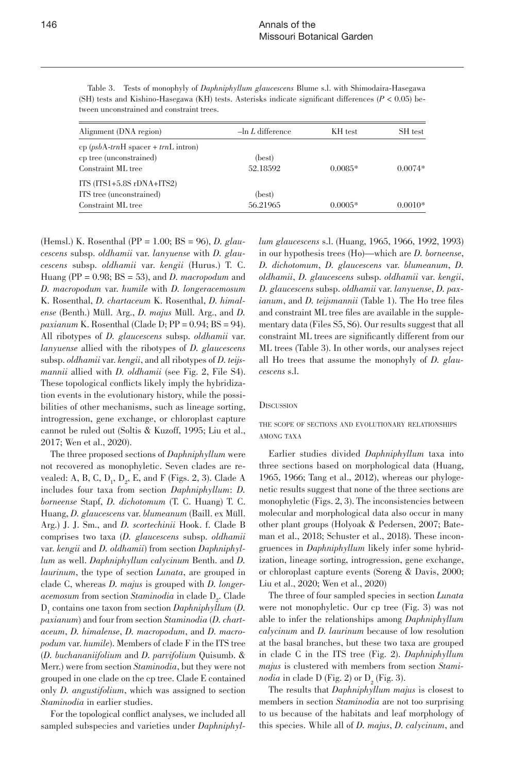Table 3. Tests of monophyly of *Daphniphyllum glaucescens* Blume s.l. with Shimodaira-Hasegawa (SH) tests and Kishino-Hasegawa (KH) tests. Asterisks indicate significant differences (*P* < 0.05) between unconstrained and constraint trees.

| Alignment (DNA region)                 | $-\ln L$ difference | KH test   | SH test   |
|----------------------------------------|---------------------|-----------|-----------|
| $cp (psbA-trnH spaceer + trnL intron)$ |                     |           |           |
| cp tree (unconstrained)                | (best)              |           |           |
| Constraint ML tree                     | 52.18592            | $0.0085*$ | $0.0074*$ |
| ITS $(ITS1+5.8S rDNA+ITS2)$            |                     |           |           |
| ITS tree (unconstrained)               | (best)              |           |           |
| Constraint ML tree                     | 56.21965            | $0.0005*$ | $0.0010*$ |

(Hemsl.) K. Rosenthal (PP = 1.00; BS = 96), *D. glaucescens* subsp. *oldhamii* var. *lanyuense* with *D. glaucescens* subsp. *oldhamii* var. *kengii* (Hurus.) T. C. Huang (PP = 0.98; BS = 53), and *D. macropodum* and *D. macropodum* var. *humile* with *D. longeracemosum* K. Rosenthal, *D. chartaceum* K. Rosenthal, *D. himalense* (Benth.) Müll. Arg., *D. majus* Müll. Arg., and *D. paxianum* K. Rosenthal (Clade D; PP = 0.94; BS = 94). All ribotypes of *D. glaucescens* subsp. *oldhamii* var. *lanyuense* allied with the ribotypes of *D. glaucescens* subsp. *oldhamii* var. *kengii*, and all ribotypes of *D. teijsmannii* allied with *D. oldhamii* (see Fig. 2, File S4). These topological conflicts likely imply the hybridization events in the evolutionary history, while the possibilities of other mechanisms, such as lineage sorting, introgression, gene exchange, or chloroplast capture cannot be ruled out (Soltis & Kuzoff, 1995; Liu et al., 2017; Wen et al., 2020).

The three proposed sections of *Daphniphyllum* were not recovered as monophyletic. Seven clades are revealed: A, B, C,  $\mathbf{D_{_{1}}},$   $\mathbf{D_{_{2}}},$  E, and F (Figs. 2, 3). Clade A includes four taxa from section *Daphniphyllum*: *D. borneense* Stapf, *D. dichotomum* (T. C. Huang) T. C. Huang, *D. glaucescens* var. *blumeanum* (Baill. ex Müll. Arg.) J. J. Sm., and *D. scortechinii* Hook. f. Clade B comprises two taxa (*D. glaucescens* subsp. *oldhamii* var. *kengii* and *D. oldhamii*) from section *Daphniphyllum* as well. *Daphniphyllum calycinum* Benth. and *D. laurinum*, the type of section *Lunata*, are grouped in clade C, whereas *D. majus* is grouped with *D. longeracemosum* from section *Staminodia* in clade  $D_2$ . Clade D1 contains one taxon from section *Daphniphyllum* (*D. paxianum*) and four from section *Staminodia* (*D. chartaceum*, *D. himalense*, *D. macropodum*, and *D. macropodum* var. *humile*). Members of clade F in the ITS tree (*D. buchananiifolium* and *D. parvifolium* Quisumb. & Merr.) were from section *Staminodia*, but they were not grouped in one clade on the cp tree. Clade E contained only *D. angustifolium*, which was assigned to section *Staminodia* in earlier studies.

For the topological conflict analyses, we included all sampled subspecies and varieties under *Daphniphyl-*

*lum glaucescens* s.l. (Huang, 1965, 1966, 1992, 1993) in our hypothesis trees (Ho)––which are *D. borneense*, *D. dichotomum*, *D. glaucescens* var. *blumeanum*, *D. oldhamii*, *D. glaucescens* subsp. *oldhamii* var. *kengii*, *D. glaucescens* subsp. *oldhamii* var. *lanyuense*, *D. paxianum*, and *D. teijsmannii* (Table 1). The Ho tree files and constraint ML tree files are available in the supplementary data (Files S5, S6). Our results suggest that all constraint ML trees are significantly different from our ML trees (Table 3). In other words, our analyses reject all Ho trees that assume the monophyly of *D. glaucescens* s.l.

### **Discussion**

# the scope of sections and evolutionary relationships among taxa

Earlier studies divided *Daphniphyllum* taxa into three sections based on morphological data (Huang, 1965, 1966; Tang et al., 2012), whereas our phylogenetic results suggest that none of the three sections are monophyletic (Figs. 2, 3). The inconsistencies between molecular and morphological data also occur in many other plant groups (Holyoak & Pedersen, 2007; Bateman et al., 2018; Schuster et al., 2018). These incongruences in *Daphniphyllum* likely infer some hybridization, lineage sorting, introgression, gene exchange, or chloroplast capture events (Soreng & Davis, 2000; Liu et al., 2020; Wen et al., 2020)

The three of four sampled species in section *Lunata* were not monophyletic. Our cp tree (Fig. 3) was not able to infer the relationships among *Daphniphyllum calycinum* and *D. laurinum* because of low resolution at the basal branches, but these two taxa are grouped in clade C in the ITS tree (Fig. 2). *Daphniphyllum majus* is clustered with members from section *Stami* $nodia$  in clade D (Fig. 2) or  $D_2$  (Fig. 3).

The results that *Daphniphyllum majus* is closest to members in section *Staminodia* are not too surprising to us because of the habitats and leaf morphology of this species. While all of *D. majus*, *D. calycinum*, and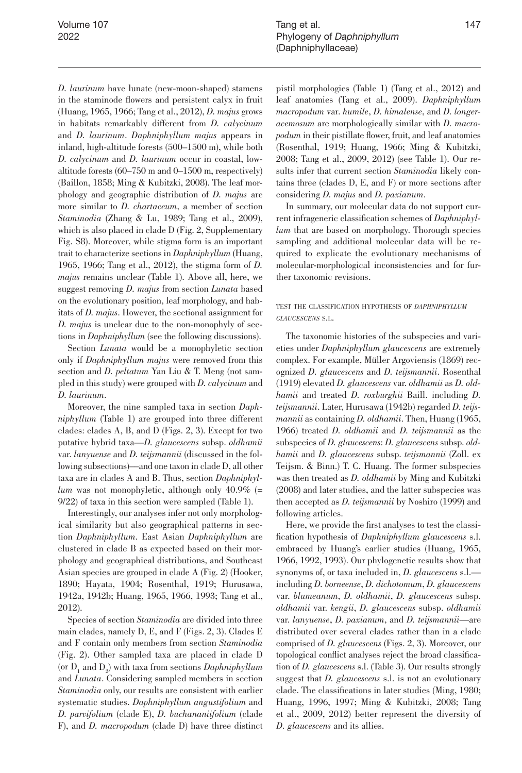*D. laurinum* have lunate (new-moon-shaped) stamens in the staminode flowers and persistent calyx in fruit (Huang, 1965, 1966; Tang et al., 2012), *D. majus* grows in habitats remarkably different from *D. calycinum* and *D. laurinum*. *Daphniphyllum majus* appears in inland, high-altitude forests (500–1500 m), while both *D. calycinum* and *D. laurinum* occur in coastal, lowaltitude forests (60–750 m and 0–1500 m, respectively) (Baillon, 1858; Ming & Kubitzki, 2008). The leaf morphology and geographic distribution of *D. majus* are more similar to *D. chartaceum*, a member of section *Staminodia* (Zhang & Lu, 1989; Tang et al., 2009), which is also placed in clade D (Fig. 2, Supplementary Fig. S8). Moreover, while stigma form is an important trait to characterize sections in *Daphniphyllum* (Huang, 1965, 1966; Tang et al., 2012), the stigma form of *D. majus* remains unclear (Table 1). Above all, here, we suggest removing *D. majus* from section *Lunata* based on the evolutionary position, leaf morphology, and habitats of *D. majus*. However, the sectional assignment for *D. majus* is unclear due to the non-monophyly of sections in *Daphniphyllum* (see the following discussions).

Section *Lunata* would be a monophyletic section only if *Daphniphyllum majus* were removed from this section and *D. peltatum* Yan Liu & T. Meng (not sampled in this study) were grouped with *D. calycinum* and *D. laurinum*.

Moreover, the nine sampled taxa in section *Daphniphyllum* (Table 1) are grouped into three different clades: clades A, B, and D (Figs. 2, 3). Except for two putative hybrid taxa––*D. glaucescens* subsp. *oldhamii* var. *lanyuense* and *D. teijsmannii* (discussed in the following subsections)––and one taxon in clade D, all other taxa are in clades A and B. Thus, section *Daphniphyllum* was not monophyletic, although only 40.9% (= 9/22) of taxa in this section were sampled (Table 1).

Interestingly, our analyses infer not only morphological similarity but also geographical patterns in section *Daphniphyllum*. East Asian *Daphniphyllum* are clustered in clade B as expected based on their morphology and geographical distributions, and Southeast Asian species are grouped in clade A (Fig. 2) (Hooker, 1890; Hayata, 1904; Rosenthal, 1919; Hurusawa, 1942a, 1942b; Huang, 1965, 1966, 1993; Tang et al., 2012).

Species of section *Staminodia* are divided into three main clades, namely D, E, and F (Figs. 2, 3). Clades E and F contain only members from section *Staminodia* (Fig. 2). Other sampled taxa are placed in clade D (or  $D_1$  and  $D_2$ ) with taxa from sections  $Daphniphyllum$ and *Lunata*. Considering sampled members in section *Staminodia* only, our results are consistent with earlier systematic studies. *Daphniphyllum angustifolium* and *D. parvifolium* (clade E), *D. buchananiifolium* (clade F), and *D. macropodum* (clade D) have three distinct

pistil morphologies (Table 1) (Tang et al., 2012) and leaf anatomies (Tang et al., 2009). *Daphniphyllum macropodum* var. *humile*, *D. himalense*, and *D. longeracemosum* are morphologically similar with *D. macropodum* in their pistillate flower, fruit, and leaf anatomies (Rosenthal, 1919; Huang, 1966; Ming & Kubitzki, 2008; Tang et al., 2009, 2012) (see Table 1). Our results infer that current section *Staminodia* likely contains three (clades D, E, and F) or more sections after considering *D. majus* and *D. paxianum*.

In summary, our molecular data do not support current infrageneric classification schemes of *Daphniphyllum* that are based on morphology. Thorough species sampling and additional molecular data will be required to explicate the evolutionary mechanisms of molecular-morphological inconsistencies and for further taxonomic revisions.

# test the classification hypothesis of *daphniphyllum glaucescens* s.l.

The taxonomic histories of the subspecies and varieties under *Daphniphyllum glaucescens* are extremely complex. For example, Müller Argoviensis (1869) recognized *D. glaucescens* and *D. teijsmannii*. Rosenthal (1919) elevated *D. glaucescens* var. *oldhamii* as *D. oldhamii* and treated *D. roxburghii* Baill. including *D. teijsmannii*. Later, Hurusawa (1942b) regarded *D. teijsmannii* as containing *D. oldhamii*. Then, Huang (1965, 1966) treated *D. oldhamii* and *D. teijsmannii* as the subspecies of *D. glaucescens*: *D. glaucescens* subsp. *oldhamii* and *D. glaucescens* subsp. *teijsmannii* (Zoll. ex Teijsm. & Binn.) T. C. Huang. The former subspecies was then treated as *D. oldhamii* by Ming and Kubitzki (2008) and later studies, and the latter subspecies was then accepted as *D. teijsmannii* by Noshiro (1999) and following articles.

Here, we provide the first analyses to test the classification hypothesis of *Daphniphyllum glaucescens* s.l. embraced by Huang's earlier studies (Huang, 1965, 1966, 1992, 1993). Our phylogenetic results show that synonyms of, or taxa included in, *D. glaucescens* s.l.–– including *D. borneense*, *D. dichotomum*, *D. glaucescens* var. *blumeanum*, *D. oldhamii*, *D. glaucescens* subsp. *oldhamii* var. *kengii*, *D. glaucescens* subsp. *oldhamii* var. *lanyuense*, *D. paxianum*, and *D. teijsmannii*––are distributed over several clades rather than in a clade comprised of *D. glaucescens* (Figs. 2, 3). Moreover, our topological conflict analyses reject the broad classification of *D. glaucescens* s.l. (Table 3). Our results strongly suggest that *D. glaucescens* s.l. is not an evolutionary clade. The classifications in later studies (Ming, 1980; Huang, 1996, 1997; Ming & Kubitzki, 2008; Tang et al., 2009, 2012) better represent the diversity of *D. glaucescens* and its allies.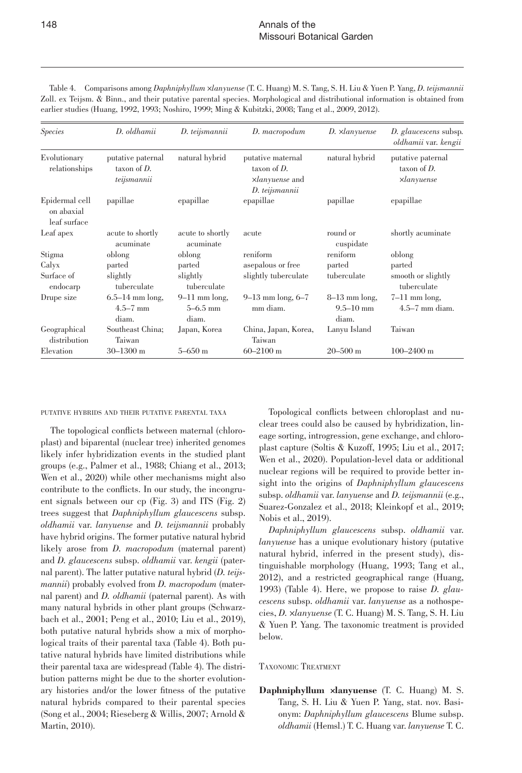Table 4. Comparisons among *Daphniphyllum* ×*lanyuense* (T. C. Huang) M. S. Tang, S. H. Liu & Yuen P. Yang, *D. teijsmannii* Zoll. ex Teijsm. & Binn., and their putative parental species. Morphological and distributional information is obtained from earlier studies (Huang, 1992, 1993; Noshiro, 1999; Ming & Kubitzki, 2008; Tang et al., 2009, 2012).

| <i><u>Species</u></i>                        | D. oldhamii                                        | D. teijsmannii                           | D. macropodum                                                                                | $D. \times$ lanyuense                     | D. glaucescens subsp.<br>oldhamii var. kengii        |
|----------------------------------------------|----------------------------------------------------|------------------------------------------|----------------------------------------------------------------------------------------------|-------------------------------------------|------------------------------------------------------|
| Evolutionary<br>relationships                | putative paternal<br>taxon of $D$ .<br>teijsmannii | natural hybrid                           | putative maternal<br>taxon of $D$ .<br><i><u><b>×lanyuense</b></u></i> and<br>D. teijsmannii | natural hybrid                            | putative paternal<br>taxon of $D$ .<br>$x$ lanyuense |
| Epidermal cell<br>on abaxial<br>leaf surface | papillae                                           | epapillae                                | epapillae                                                                                    | papillae                                  | epapillae                                            |
| Leaf apex                                    | acute to shortly<br>acuminate                      | acute to shortly<br>acuminate            | acute                                                                                        | round or<br>cuspidate                     | shortly acuminate                                    |
| Stigma                                       | oblong                                             | oblong                                   | reniform                                                                                     | reniform                                  | oblong                                               |
| Calyx                                        | parted                                             | parted                                   | asepalous or free                                                                            | parted                                    | parted                                               |
| Surface of<br>endocarp                       | slightly<br>tuberculate                            | slightly<br>tuberculate                  | slightly tuberculate                                                                         | tuberculate                               | smooth or slightly<br>tuberculate                    |
| Drupe size                                   | $6.5-14$ mm long,<br>$4.5 - 7$ mm<br>diam.         | $9-11$ mm long,<br>$5 - 6.5$ mm<br>diam. | $9-13$ mm long, $6-7$<br>mm diam.                                                            | $8-13$ mm long.<br>$9.5 - 10$ mm<br>diam. | $7-11$ mm long,<br>$4.5 - 7$ mm diam.                |
| Geographical<br>distribution                 | Southeast China:<br>Taiwan                         | Japan, Korea                             | China, Japan, Korea,<br>Taiwan                                                               | Lanyu Island                              | Taiwan                                               |
| Elevation                                    | $30 - 1300$ m                                      | $5 - 650$ m                              | $60 - 2100$ m                                                                                | $20 - 500$ m                              | $100 - 2400$ m                                       |

#### putative hybrids and their putative parental taxa

The topological conflicts between maternal (chloroplast) and biparental (nuclear tree) inherited genomes likely infer hybridization events in the studied plant groups (e.g., Palmer et al., 1988; Chiang et al., 2013; Wen et al., 2020) while other mechanisms might also contribute to the conflicts. In our study, the incongruent signals between our cp (Fig. 3) and ITS (Fig. 2) trees suggest that *Daphniphyllum glaucescens* subsp. *oldhamii* var. *lanyuense* and *D. teijsmannii* probably have hybrid origins. The former putative natural hybrid likely arose from *D. macropodum* (maternal parent) and *D. glaucescens* subsp. *oldhamii* var. *kengii* (paternal parent). The latter putative natural hybrid (*D. teijsmannii*) probably evolved from *D. macropodum* (maternal parent) and *D. oldhamii* (paternal parent). As with many natural hybrids in other plant groups (Schwarzbach et al., 2001; Peng et al., 2010; Liu et al., 2019), both putative natural hybrids show a mix of morphological traits of their parental taxa (Table 4). Both putative natural hybrids have limited distributions while their parental taxa are widespread (Table 4). The distribution patterns might be due to the shorter evolutionary histories and/or the lower fitness of the putative natural hybrids compared to their parental species (Song et al., 2004; Rieseberg & Willis, 2007; Arnold & Martin, 2010).

Topological conflicts between chloroplast and nuclear trees could also be caused by hybridization, lineage sorting, introgression, gene exchange, and chloroplast capture (Soltis & Kuzoff, 1995; Liu et al., 2017; Wen et al., 2020). Population-level data or additional nuclear regions will be required to provide better insight into the origins of *Daphniphyllum glaucescens* subsp. *oldhamii* var. *lanyuense* and *D. teijsmannii* (e.g., Suarez-Gonzalez et al., 2018; Kleinkopf et al., 2019; Nobis et al., 2019).

*Daphniphyllum glaucescens* subsp. *oldhamii* var. *lanyuense* has a unique evolutionary history (putative natural hybrid, inferred in the present study), distinguishable morphology (Huang, 1993; Tang et al., 2012), and a restricted geographical range (Huang, 1993) (Table 4). Here, we propose to raise *D. glaucescens* subsp. *oldhamii* var. *lanyuense* as a nothospecies, *D.* ×*lanyuense* (T. C. Huang) M. S. Tang, S. H. Liu & Yuen P. Yang. The taxonomic treatment is provided below.

### Taxonomic Treatment

**Daphniphyllum ×lanyuense** (T. C. Huang) M. S. Tang, S. H. Liu & Yuen P. Yang, stat. nov. Basionym: *Daphniphyllum glaucescens* Blume subsp. *oldhamii* (Hemsl.) T. C. Huang var. *lanyuense* T. C.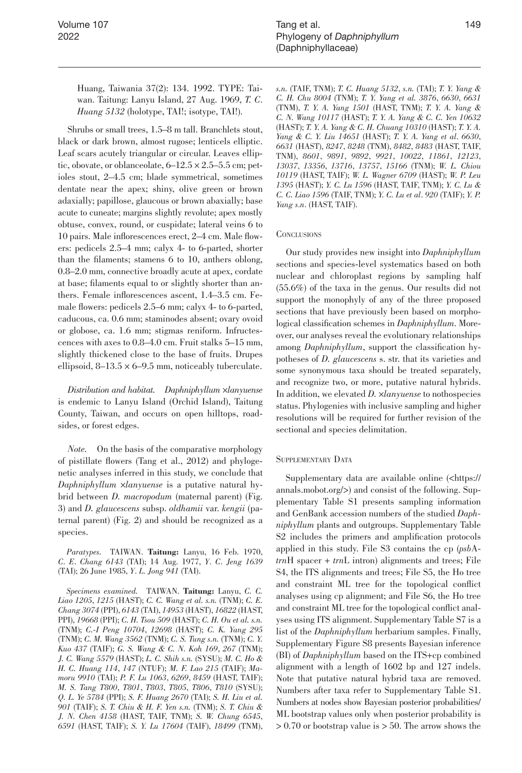Huang, Taiwania 37(2): 134. 1992. TYPE: Taiwan. Taitung: Lanyu Island, 27 Aug. 1969, *T. C*. *Huang 5132* (holotype, TAI!; isotype, TAI!).

Shrubs or small trees, 1.5–8 m tall. Branchlets stout, black or dark brown, almost rugose; lenticels elliptic. Leaf scars acutely triangular or circular. Leaves elliptic, obovate, or oblanceolate,  $6-12.5 \times 2.5-5.5$  cm; petioles stout, 2–4.5 cm; blade symmetrical, sometimes dentate near the apex; shiny, olive green or brown adaxially; papillose, glaucous or brown abaxially; base acute to cuneate; margins slightly revolute; apex mostly obtuse, convex, round, or cuspidate; lateral veins 6 to 10 pairs. Male inflorescences erect, 2–4 cm. Male flowers: pedicels 2.5–4 mm; calyx 4- to 6-parted, shorter than the filaments; stamens 6 to 10, anthers oblong, 0.8–2.0 mm, connective broadly acute at apex, cordate at base; filaments equal to or slightly shorter than anthers. Female inflorescences ascent, 1.4–3.5 cm. Female flowers: pedicels 2.5–6 mm; calyx 4- to 6-parted, caducous, ca. 0.6 mm; staminodes absent; ovary ovoid or globose, ca. 1.6 mm; stigmas reniform. Infructescences with axes to 0.8–4.0 cm. Fruit stalks 5–15 mm, slightly thickened close to the base of fruits. Drupes ellipsoid,  $8-13.5 \times 6-9.5$  mm, noticeably tuberculate.

*Distribution and habitat. Daphniphyllum* ×*lanyuense* is endemic to Lanyu Island (Orchid Island), Taitung County, Taiwan, and occurs on open hilltops, roadsides, or forest edges.

*Note.* On the basis of the comparative morphology of pistillate flowers (Tang et al., 2012) and phylogenetic analyses inferred in this study, we conclude that *Daphniphyllum* ×*lanyuense* is a putative natural hybrid between *D. macropodum* (maternal parent) (Fig. 3) and *D. glaucescens* subsp. *oldhamii* var. *kengii* (paternal parent) (Fig. 2) and should be recognized as a species.

*Paratypes.* TAIWAN. **Taitung:** Lanyu, 16 Feb. 1970, *C*. *E*. *Chang 6143* (TAI); 14 Aug. 1977, *Y*. *C*. *Jeng 1639*  (TAI); 26 June 1985, *Y*. *L*. *Jong 941* (TAI).

*Specimens examined.* TAIWAN. **Taitung:** Lanyu, *C. C. Liao 1205*, *1215* (HAST); *C. C. Wang et al. s.n.* (TNM); *C. E. Chang 3074* (PPI), *6143* (TAI), *14953* (HAST), *16822* (HAST, PPI), *19668* (PPI); *C. H. Tsou 509* (HAST); *C. H. Ou et al. s.n.* (TNM); *C.-I Peng 10704*, *12698* (HAST); *C. K. Yang 295* (TNM); *C. M. Wang 3562* (TNM); *C. S. Tung s.n.* (TNM); *C. Y. Kuo 437* (TAIF); *G. S. Wang & C. N. Koh 169*, *267* (TNM); *J. C. Wang 5579* (HAST); *L. C. Shih s.n.* (SYSU); *M. C. Ho & H. C. Huang 114*, *147* (NTUF); *M. F. Lao 215* (TAIF); *Mamoru 9910* (TAI); *P. F. Lu 1063*, *6269*, *8459* (HAST, TAIF); *M. S. Tang T800*, *T801*, *T803*, *T805*, *T806*, *T810* (SYSU); *Q. L. Ye 5784* (PPI); *S. F. Huang 2670* (TAI); *S. H. Liu et al. 901* (TAIF); *S. T. Chiu & H. F. Yen s.n.* (TNM); *S. T. Chiu & J. N. Chen 4158* (HAST, TAIF, TNM); *S. W. Chung 6545*, *6591* (HAST, TAIF); *S. Y. Lu 17604* (TAIF), *18499* (TNM),

*s.n.* (TAIF, TNM); *T. C. Huang 5132*, *s.n.* (TAI); *T. Y. Yang & C. H. Chu 8004* (TNM); *T. Y. Yang et al. 3876*, *6630*, *6631*  (TNM), *T. Y. A. Yang 1501* (HAST, TNM); *T. Y. A. Yang & C. N. Wang 10117* (HAST); *T. Y. A. Yang & C. C. Yen 10632* (HAST); *T. Y. A. Yang & C. H. Chuang 10310* (HAST); *T. Y. A. Yang & C. Y. Liu 14651* (HAST); *T. Y. A. Yang et al*. *6630*, *6631* (HAST), *8247*, *8248* (TNM), *8482*, *8483* (HAST, TAIF, TNM), *8601*, *9891*, *9892*, *9921*, *10022*, *11861*, *12123*, *13037*, *13356*, *13716*, *13757*, *15166* (TNM); *W. L. Chiou 10119* (HAST, TAIF); *W. L. Wagner 6709* (HAST); *W. P. Leu 1395* (HAST); *Y. C. Lu 1596* (HAST, TAIF, TNM); *Y. C. Lu & C. C. Liao 1596* (TAIF, TNM); *Y. C. Lu et al*. *920* (TAIF); *Y. P. Yang s*.*n*. (HAST, TAIF).

### **CONCLUSIONS**

Our study provides new insight into *Daphniphyllum* sections and species-level systematics based on both nuclear and chloroplast regions by sampling half (55.6%) of the taxa in the genus. Our results did not support the monophyly of any of the three proposed sections that have previously been based on morphological classification schemes in *Daphniphyllum*. Moreover, our analyses reveal the evolutionary relationships among *Daphniphyllum*, support the classification hypotheses of *D. glaucescens* s. str. that its varieties and some synonymous taxa should be treated separately, and recognize two, or more, putative natural hybrids. In addition, we elevated *D.* ×*lanyuense* to nothospecies status. Phylogenies with inclusive sampling and higher resolutions will be required for further revision of the sectional and species delimitation.

### SUPPLEMENTARY DATA

Supplementary data are available online ([<https://](https://annals.mobot.org/) [annals.mobot.org/>](https://annals.mobot.org/)) and consist of the following. Supplementary Table S1 presents sampling information and GenBank accession numbers of the studied *Daphniphyllum* plants and outgroups. Supplementary Table S2 includes the primers and amplification protocols applied in this study. File S3 contains the cp (*psb*A*trn*H spacer + *trn*L intron) alignments and trees; File S4, the ITS alignments and trees; File S5, the Ho tree and constraint ML tree for the topological conflict analyses using cp alignment; and File S6, the Ho tree and constraint ML tree for the topological conflict analyses using ITS alignment. Supplementary Table S7 is a list of the *Daphniphyllum* herbarium samples. Finally, Supplementary Figure S8 presents Bayesian inference (BI) of *Daphniphyllum* based on the ITS+cp combined alignment with a length of 1602 bp and 127 indels. Note that putative natural hybrid taxa are removed. Numbers after taxa refer to Supplementary Table S1. Numbers at nodes show Bayesian posterior probabilities/ ML bootstrap values only when posterior probability is > 0.70 or bootstrap value is > 50. The arrow shows the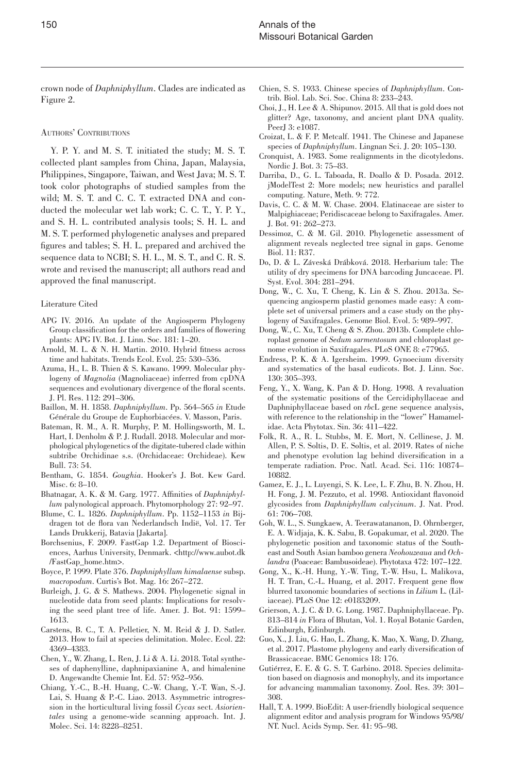crown node of *Daphniphyllum*. Clades are indicated as Figure 2.

### Authors' Contributions

Y. P. Y. and M. S. T. initiated the study; M. S. T. collected plant samples from China, Japan, Malaysia, Philippines, Singapore, Taiwan, and West Java; M. S. T. took color photographs of studied samples from the wild; M. S. T. and C. C. T. extracted DNA and conducted the molecular wet lab work; C. C. T., Y. P. Y., and S. H. L. contributed analysis tools; S. H. L. and M. S. T. performed phylogenetic analyses and prepared figures and tables; S. H. L. prepared and archived the sequence data to NCBI; S. H. L., M. S. T., and C. R. S. wrote and revised the manuscript; all authors read and approved the final manuscript.

# Literature Cited

- APG IV. 2016. An update of the Angiosperm Phylogeny Group classification for the orders and families of flowering plants: APG IV. Bot. J. Linn. Soc. 181: 1–20.
- Arnold, M. L. & N. H. Martin. 2010. Hybrid fitness across time and habitats. Trends Ecol. Evol. 25: 530–536.
- Azuma, H., L. B. Thien & S. Kawano. 1999. Molecular phylogeny of *Magnolia* (Magnoliaceae) inferred from cpDNA sequences and evolutionary divergence of the floral scents. J. Pl. Res. 112: 291–306.
- Baillon, M. H. 1858. *Daphniphyllum*. Pp. 564–565 *in* Etude Générale du Groupe de Euphorbiacées. V. Masson, Paris.
- Bateman, R. M., A. R. Murphy, P. M. Hollingsworth, M. L. Hart, I. Denholm & P. J. Rudall. 2018. Molecular and morphological phylogenetics of the digitate-tubered clade within subtribe Orchidinae s.s. (Orchidaceae: Orchideae). Kew Bull. 73: 54.
- Bentham, G. 1854. *Goughia*. Hooker's J. Bot. Kew Gard. Misc. 6: 8–10.
- Bhatnagar, A. K. & M. Garg. 1977. Affinities of *Daphniphyllum* palynological approach. Phytomorphology 27: 92–97.
- Blume, C. L. 1826. *Daphniphyllum*. Pp. 1152–1153 *in* Bijdragen tot de flora van Nederlandsch Indië, Vol. 17. Ter Lands Drukkerij, Batavia [Jakarta].
- Borchsenius, F. 2009. FastGap 1.2. Department of Biosciences, Aarhus University, Denmark. [<http://www.aubot.dk](http://www.aubot.dk/FastGap_home.htm) [/FastGap\\_home.htm](http://www.aubot.dk/FastGap_home.htm)>.
- Boyce, P. 1999. Plate 376. *Daphniphyllum himalaense* subsp. *macropodum*. Curtis's Bot. Mag. 16: 267–272.
- Burleigh, J. G. & S. Mathews. 2004. Phylogenetic signal in nucleotide data from seed plants: Implications for resolving the seed plant tree of life. Amer. J. Bot. 91: 1599– 1613.
- Carstens, B. C., T. A. Pelletier, N. M. Reid & J. D. Satler. 2013. How to fail at species delimitation. Molec. Ecol. 22: 4369–4383.
- Chen, Y., W. Zhang, L. Ren, J. Li & A. Li. 2018. Total syntheses of daphenylline, daphnipaxianine A, and himalenine D. Angewandte Chemie Int. Ed. 57: 952–956.
- Chiang, Y.-C., B.-H. Huang, C.-W. Chang, Y.-T. Wan, S.-J. Lai, S. Huang & P.-C. Liao. 2013. Asymmetric introgression in the horticultural living fossil *Cycas* sect. *Asiorientales* using a genome-wide scanning approach. Int. J. Molec. Sci. 14: 8228–8251.
- Chien, S. S. 1933. Chinese species of *Daphniphyllum*. Contrib. Biol. Lab. Sci. Soc. China 8: 233–243.
- Choi, J., H. Lee & A. Shipunov. 2015. All that is gold does not glitter? Age, taxonomy, and ancient plant DNA quality. PeerJ 3: e1087.
- Croizat, L. & F. P. Metcalf. 1941. The Chinese and Japanese species of *Daphniphyllum*. Lingnan Sci. J. 20: 105–130.
- Cronquist, A. 1983. Some realignments in the dicotyledons. Nordic J. Bot. 3: 75–83.
- Darriba, D., G. L. Taboada, R. Doallo & D. Posada. 2012. jModelTest 2: More models; new heuristics and parallel computing. Nature, Meth. 9: 772.
- Davis, C. C. & M. W. Chase. 2004. Elatinaceae are sister to Malpighiaceae; Peridiscaceae belong to Saxifragales. Amer. J. Bot. 91: 262–273.
- Dessimoz, C. & M. Gil. 2010. Phylogenetic assessment of alignment reveals neglected tree signal in gaps. Genome Biol. 11: R37.
- Do, D. & L. Záveská Drábková. 2018. Herbarium tale: The utility of dry specimens for DNA barcoding Juncaceae. Pl. Syst. Evol. 304: 281–294.
- Dong, W., C. Xu, T. Cheng, K. Lin & S. Zhou. 2013a. Sequencing angiosperm plastid genomes made easy: A complete set of universal primers and a case study on the phylogeny of Saxifragales. Genome Biol. Evol. 5: 989–997.
- Dong, W., C. Xu, T. Cheng & S. Zhou. 2013b. Complete chloroplast genome of *Sedum sarmentosum* and chloroplast genome evolution in Saxifragales. PLoS ONE 8: e77965.
- Endress, P. K. & A. Igersheim. 1999. Gynoecium diversity and systematics of the basal eudicots. Bot. J. Linn. Soc. 130: 305–393.
- Feng, Y., X. Wang, K. Pan & D. Hong. 1998. A revaluation of the systematic positions of the Cercidiphyllaceae and Daphniphyllaceae based on *rbc*L gene sequence analysis, with reference to the relationship in the "lower" Hamamelidae. Acta Phytotax. Sin. 36: 411–422.
- Folk, R. A., R. L. Stubbs, M. E. Mort, N. Cellinese, J. M. Allen, P. S. Soltis, D. E. Soltis, et al. 2019. Rates of niche and phenotype evolution lag behind diversification in a temperate radiation. Proc. Natl. Acad. Sci. 116: 10874– 10882.
- Gamez, E. J., L. Luyengi, S. K. Lee, L. F. Zhu, B. N. Zhou, H. H. Fong, J. M. Pezzuto, et al. 1998. Antioxidant flavonoid glycosides from *Daphniphyllum calycinum*. J. Nat. Prod. 61: 706–708.
- Goh, W. L., S. Sungkaew, A. Teerawatananon, D. Ohrnberger, E. A. Widjaja, K. K. Sabu, B. Gopakumar, et al. 2020. The phylogenetic position and taxonomic status of the Southeast and South Asian bamboo genera *Neohouzeaua* and *Ochlandra* (Poaceae: Bambusoideae). Phytotaxa 472: 107–122.
- Gong, X., K.-H. Hung, Y.-W. Ting, T.-W. Hsu, L. Malikova, H. T. Tran, C.-L. Huang, et al. 2017. Frequent gene flow blurred taxonomic boundaries of sections in *Lilium* L. (Liliaceae). PLoS One 12: e0183209.
- Grierson, A. J. C. & D. G. Long. 1987. Daphniphyllaceae. Pp. 813–814 *in* Flora of Bhutan, Vol. 1. Royal Botanic Garden, Edinburgh, Edinburgh.
- Guo, X., J. Liu, G. Hao, L. Zhang, K. Mao, X. Wang, D. Zhang, et al. 2017. Plastome phylogeny and early diversification of Brassicaceae. BMC Genomics 18: 176.
- Gutiérrez, E. E. & G. S. T. Garbino. 2018. Species delimitation based on diagnosis and monophyly, and its importance for advancing mammalian taxonomy. Zool. Res. 39: 301– 308.
- Hall, T. A. 1999. BioEdit: A user-friendly biological sequence alignment editor and analysis program for Windows 95/98/ NT. Nucl. Acids Symp. Ser. 41: 95–98.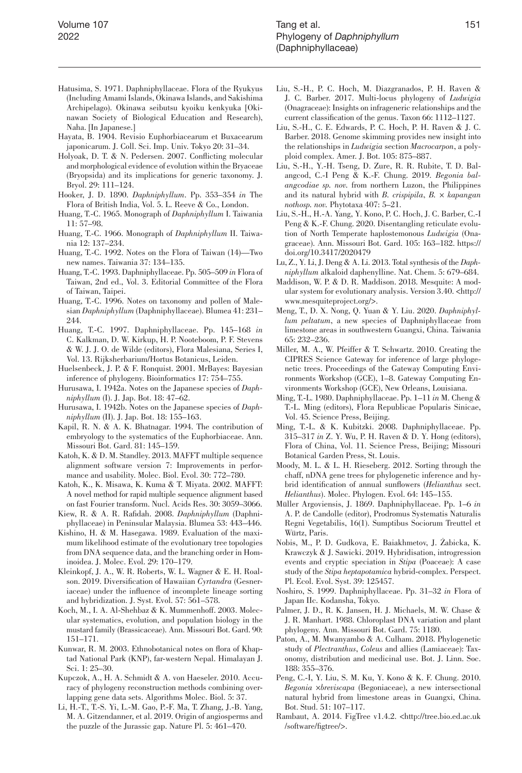- Hatusima, S. 1971. Daphniphyllaceae. Flora of the Ryukyus (Including Amami Islands, Okinawa Islands, and Sakishima Archipelago). Okinawa seibutsu kyoiku kenkyuka [Okinawan Society of Biological Education and Research), Naha. [In Japanese.]
- Hayata, B. 1904. Revisio Euphorbiacearum et Buxacearum japonicarum. J. Coll. Sci. Imp. Univ. Tokyo 20: 31–34.
- Holyoak, D. T. & N. Pedersen. 2007. Conflicting molecular and morphological evidence of evolution within the Bryaceae (Bryopsida) and its implications for generic taxonomy. J. Bryol. 29: 111–124.
- Hooker, J. D. 1890. *Daphniphyllum*. Pp. 353–354 *in* The Flora of British India, Vol. 5. L. Reeve & Co., London.
- Huang, T.-C. 1965. Monograph of *Daphniphyllum* I. Taiwania 11: 57–98.
- Huang, T.-C. 1966. Monograph of *Daphniphyllum* II. Taiwania 12: 137–234.
- Huang, T.-C. 1992. Notes on the Flora of Taiwan (14)—Two new names. Taiwania 37: 134–135.
- Huang, T.-C. 1993. Daphniphyllaceae. Pp. 505–509 *in* Flora of Taiwan, 2nd ed., Vol. 3. Editorial Committee of the Flora of Taiwan, Taipei.
- Huang, T.-C. 1996. Notes on taxonomy and pollen of Malesian *Daphniphyllum* (Daphniphyllaceae). Blumea 41: 231– 244.
- Huang, T.-C. 1997. Daphniphyllaceae. Pp. 145–168 *in* C. Kalkman, D. W. Kirkup, H. P. Nooteboom, P. F. Stevens & W. J. J. O. de Wilde (editors), Flora Malesiana, Series I, Vol. 13. Rijksherbarium/Hortus Botanicus, Leiden.
- Huelsenbeck, J. P. & F. Ronquist. 2001. MrBayes: Bayesian inference of phylogeny. Bioinformatics 17: 754–755.
- Hurusawa, I. 1942a. Notes on the Japanese species of *Daphniphyllum* (I). J. Jap. Bot. 18: 47–62.
- Hurusawa, I. 1942b. Notes on the Japanese species of *Daphniphyllum* (II). J. Jap. Bot. 18: 155–163.
- Kapil, R. N. & A. K. Bhatnagar. 1994. The contribution of embryology to the systematics of the Euphorbiaceae. Ann. Missouri Bot. Gard. 81: 145–159.
- Katoh, K. & D. M. Standley. 2013. MAFFT multiple sequence alignment software version 7: Improvements in performance and usability. Molec. Biol. Evol. 30: 772–780.
- Katoh, K., K. Misawa, K. Kuma & T. Miyata. 2002. MAFFT: A novel method for rapid multiple sequence alignment based on fast Fourier transform. Nucl. Acids Res. 30: 3059–3066.
- Kiew, R. & A. R. Rafidah. 2008. *Daphniphyllum* (Daphniphyllaceae) in Peninsular Malaysia. Blumea 53: 443–446.
- Kishino, H. & M. Hasegawa. 1989. Evaluation of the maximum likelihood estimate of the evolutionary tree topologies from DNA sequence data, and the branching order in Hominoidea. J. Molec. Evol. 29: 170–179.
- Kleinkopf, J. A., W. R. Roberts, W. L. Wagner & E. H. Roalson. 2019. Diversification of Hawaiian *Cyrtandra* (Gesneriaceae) under the influence of incomplete lineage sorting and hybridization. J. Syst. Evol. 57: 561–578.
- Koch, M., I. A. Al-Shehbaz & K. Mummenhoff. 2003. Molecular systematics, evolution, and population biology in the mustard family (Brassicaceae). Ann. Missouri Bot. Gard. 90: 151–171.
- Kunwar, R. M. 2003. Ethnobotanical notes on flora of Khaptad National Park (KNP), far-western Nepal. Himalayan J. Sci. 1: 25–30.
- Kupczok, A., H. A. Schmidt & A. von Haeseler. 2010. Accuracy of phylogeny reconstruction methods combining overlapping gene data sets. Algorithms Molec. Biol. 5: 37.
- Li, H.-T., T.-S. Yi, L.-M. Gao, P.-F. Ma, T. Zhang, J.-B. Yang, M. A. Gitzendanner, et al. 2019. Origin of angiosperms and the puzzle of the Jurassic gap. Nature Pl. 5: 461–470.
- Liu, S.-H., P. C. Hoch, M. Diazgranados, P. H. Raven & J. C. Barber. 2017. Multi-locus phylogeny of *Ludwigia* (Onagraceae): Insights on infrageneric relationships and the current classification of the genus. Taxon 66: 1112–1127.
- Liu, S.-H., C. E. Edwards, P. C. Hoch, P. H. Raven & J. C. Barber. 2018. Genome skimming provides new insight into the relationships in *Ludwigia* section *Macrocarpon*, a polyploid complex. Amer. J. Bot. 105: 875–887.
- Liu, S.-H., Y.-H. Tseng, D. Zure, R. R. Rubite, T. D. Balangcod, C.-I Peng & K.-F. Chung. 2019. *Begonia balangcodiae sp. nov.* from northern Luzon, the Philippines and its natural hybrid with *B. crispipila*, *B. × kapangan nothosp. nov.* Phytotaxa 407: 5–21.
- Liu, S.-H., H.-A. Yang, Y. Kono, P. C. Hoch, J. C. Barber, C.-I Peng & K.-F. Chung. 2020. Disentangling reticulate evolution of North Temperate haplostemonous *Ludwigia* (Onagraceae). Ann. Missouri Bot. Gard. 105: 163–182. [https://](https://doi.org/10.3417/2020479) [doi.org/10.3417/2020479](https://doi.org/10.3417/2020479)
- Lu, Z., Y. Li, J. Deng & A. Li. 2013. Total synthesis of the *Daphniphyllum* alkaloid daphenylline. Nat. Chem. 5: 679–684.
- Maddison, W. P. & D. R. Maddison. 2018. Mesquite: A modular system for evolutionary analysis. Version 3.40. [<http://](http://www.mesquiteproject.org) [www.mesquiteproject.org](http://www.mesquiteproject.org)/>.
- Meng, T., D. X. Nong, Q. Yuan & Y. Liu. 2020. *Daphniphyllum peltatum*, a new species of Daphniphyllaceae from limestone areas in southwestern Guangxi, China. Taiwania 65: 232–236.
- Miller, M. A., W. Pfeiffer & T. Schwartz. 2010. Creating the CIPRES Science Gateway for inference of large phylogenetic trees. Proceedings of the Gateway Computing Environments Workshop (GCE), 1–8. Gateway Computing Environments Workshop (GCE), New Orleans, Louisiana.
- Ming, T.-L. 1980. Daphniphyllaceae. Pp. 1–11 *in* M. Cheng & T.-L. Ming (editors), Flora Republicae Popularis Sinicae, Vol. 45. Science Press, Beijing.
- Ming, T.-L. & K. Kubitzki. 2008. Daphniphyllaceae. Pp. 315–317 *in* Z. Y. Wu, P. H. Raven & D. Y. Hong (editors), Flora of China, Vol. 11. Science Press, Beijing; Missouri Botanical Garden Press, St. Louis.
- Moody, M. L. & L. H. Rieseberg. 2012. Sorting through the chaff, nDNA gene trees for phylogenetic inference and hybrid identification of annual sunflowers (*Helianthus* sect. *Helianthus*). Molec. Phylogen. Evol. 64: 145–155.
- Müller Argoviensis, J. 1869. Daphniphyllaceae. Pp. 1–6 *in* A. P. de Candolle (editor), Prodromus Systematis Naturalis Regni Vegetabilis, 16(1). Sumptibus Sociorum Treuttel et Würtz, Paris.
- Nobis, M., P. D. Gudkova, E. Baiakhmetov, J. Żabicka, K. Krawczyk & J. Sawicki. 2019. Hybridisation, introgression events and cryptic speciation in *Stipa* (Poaceae): A case study of the *Stipa heptapotamica* hybrid-complex. Perspect. Pl. Ecol. Evol. Syst. 39: 125457.
- Noshiro, S. 1999. Daphniphyllaceae. Pp. 31–32 *in* Flora of Japan IIc. Kodansha, Tokyo.
- Palmer, J. D., R. K. Jansen, H. J. Michaels, M. W. Chase & J. R. Manhart. 1988. Chloroplast DNA variation and plant phylogeny. Ann. Missouri Bot. Gard. 75: 1180.
- Paton, A., M. Mwanyambo & A. Culham. 2018. Phylogenetic study of *Plectranthus*, *Coleus* and allies (Lamiaceae): Taxonomy, distribution and medicinal use. Bot. J. Linn. Soc. 188: 355–376.
- Peng, C.-I, Y. Liu, S. M. Ku, Y. Kono & K. F. Chung. 2010. *Begonia ×breviscapa* (Begoniaceae), a new intersectional natural hybrid from limestone areas in Guangxi, China. Bot. Stud. 51: 107–117.
- Rambaut, A. 2014. FigTree v1.4.2. <[http://tree.bio.ed.ac.uk](http://tree.bio.ed.ac.uk/software/figtree/) [/software/figtree/](http://tree.bio.ed.ac.uk/software/figtree/)>.